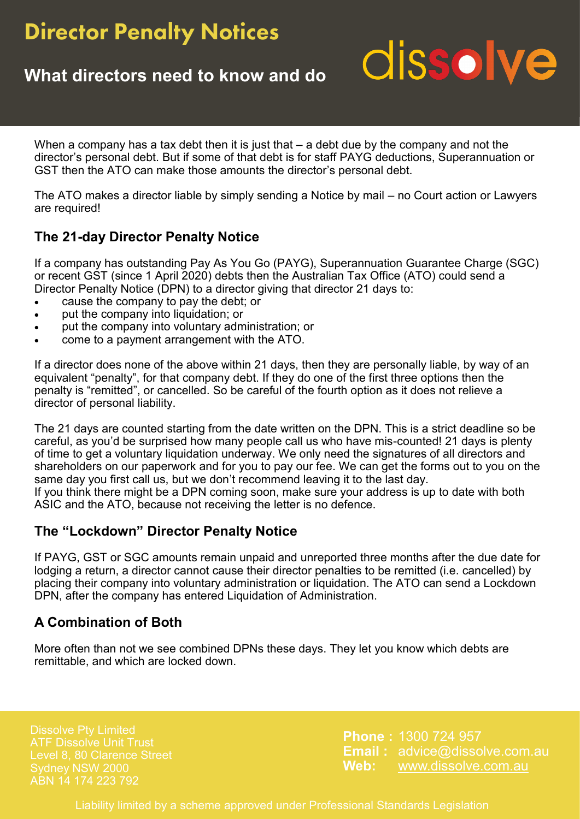## **Director Penalty Notices**

## **What directors need to know and do**

## dissolve

When a company has a tax debt then it is just that – a debt due by the company and not the director's personal debt. But if some of that debt is for staff PAYG deductions, Superannuation or GST then the ATO can make those amounts the director's personal debt.

The ATO makes a director liable by simply sending a Notice by mail – no Court action or Lawyers are required!

## **The 21-day Director Penalty Notice**

If a company has outstanding Pay As You Go (PAYG), Superannuation Guarantee Charge (SGC) or recent GST (since 1 April 2020) debts then the Australian Tax Office (ATO) could send a Director Penalty Notice (DPN) to a director giving that director 21 days to:

- cause the company to pay the debt; or
- put the company into liquidation; or
- put the company into voluntary administration; or
- come to a payment arrangement with the ATO.

If a director does none of the above within 21 days, then they are personally liable, by way of an equivalent "penalty", for that company debt. If they do one of the first three options then the penalty is "remitted", or cancelled. So be careful of the fourth option as it does not relieve a director of personal liability.

The 21 days are counted starting from the date written on the DPN. This is a strict deadline so be careful, as you'd be surprised how many people call us who have mis-counted! 21 days is plenty of time to get a voluntary liquidation underway. We only need the signatures of all directors and shareholders on our paperwork and for you to pay our fee. We can get the forms out to you on the same day you first call us, but we don't recommend leaving it to the last day.

If you think there might be a DPN coming soon, make sure your address is up to date with both ASIC and the ATO, because not receiving the letter is no defence.

### **The "Lockdown" Director Penalty Notice**

If PAYG, GST or SGC amounts remain unpaid and unreported three months after the due date for lodging a return, a director cannot cause their director penalties to be remitted (i.e. cancelled) by placing their company into voluntary administration or liquidation. The ATO can send a Lockdown DPN, after the company has entered Liquidation of Administration.

## **A Combination of Both**

More often than not we see combined DPNs these days. They let you know which debts are remittable, and which are locked down.

Level 8, 80 Clarence Street Sydney NSW 2000 ABN 14 174 223 792

**Phone :** 1300 724 957 **Email :** advice@dissolve.com.au **Web:** www.dissolve.com.au

Liability limited by a scheme approved under Professional Standards Legislation